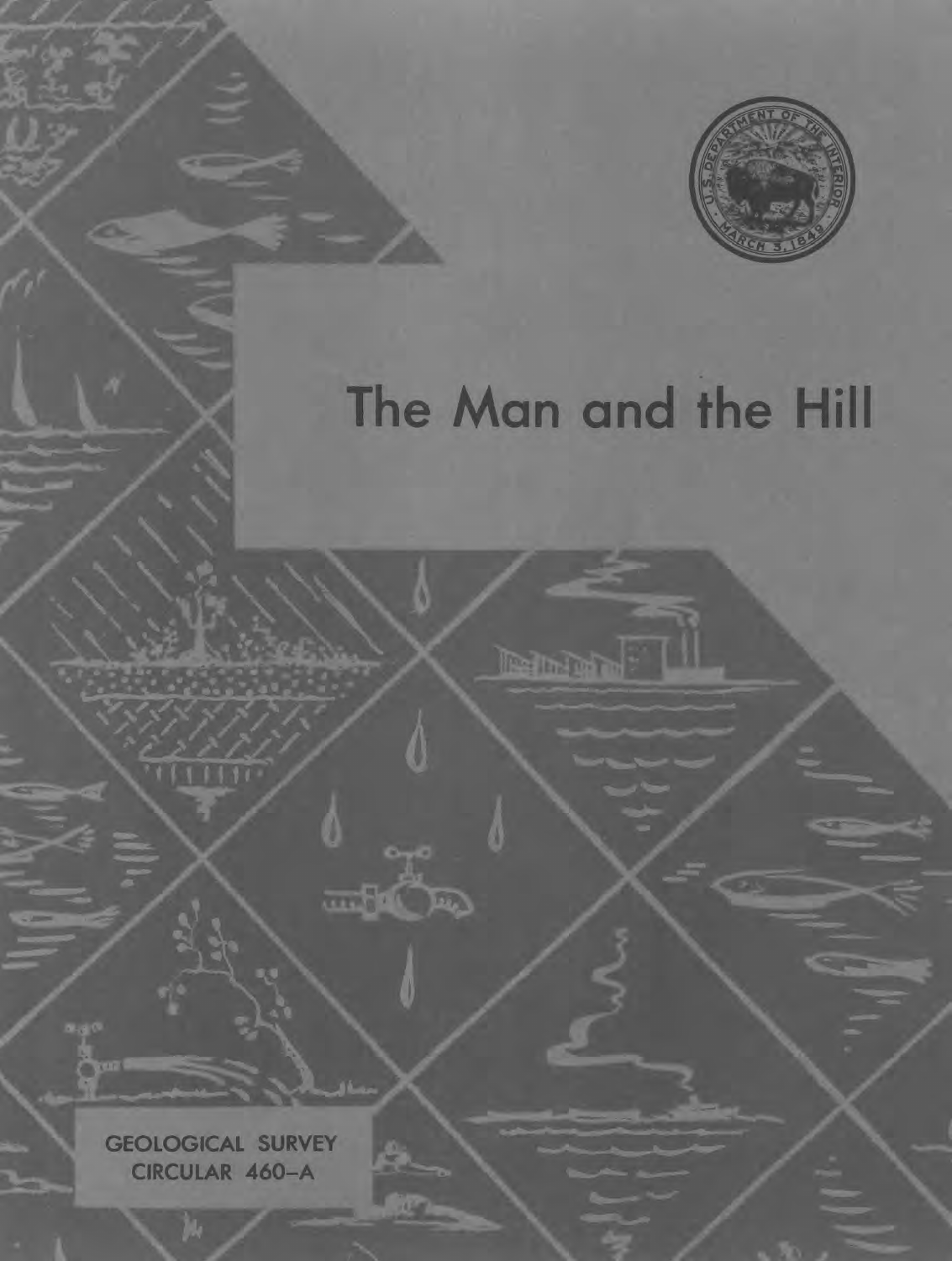

## The Man and the Hill

**Marian** 

**GEOLOGICAL SURVEY CIRCULAR 460-A**

 $1111$ 

**RAPA** 

**THE REA**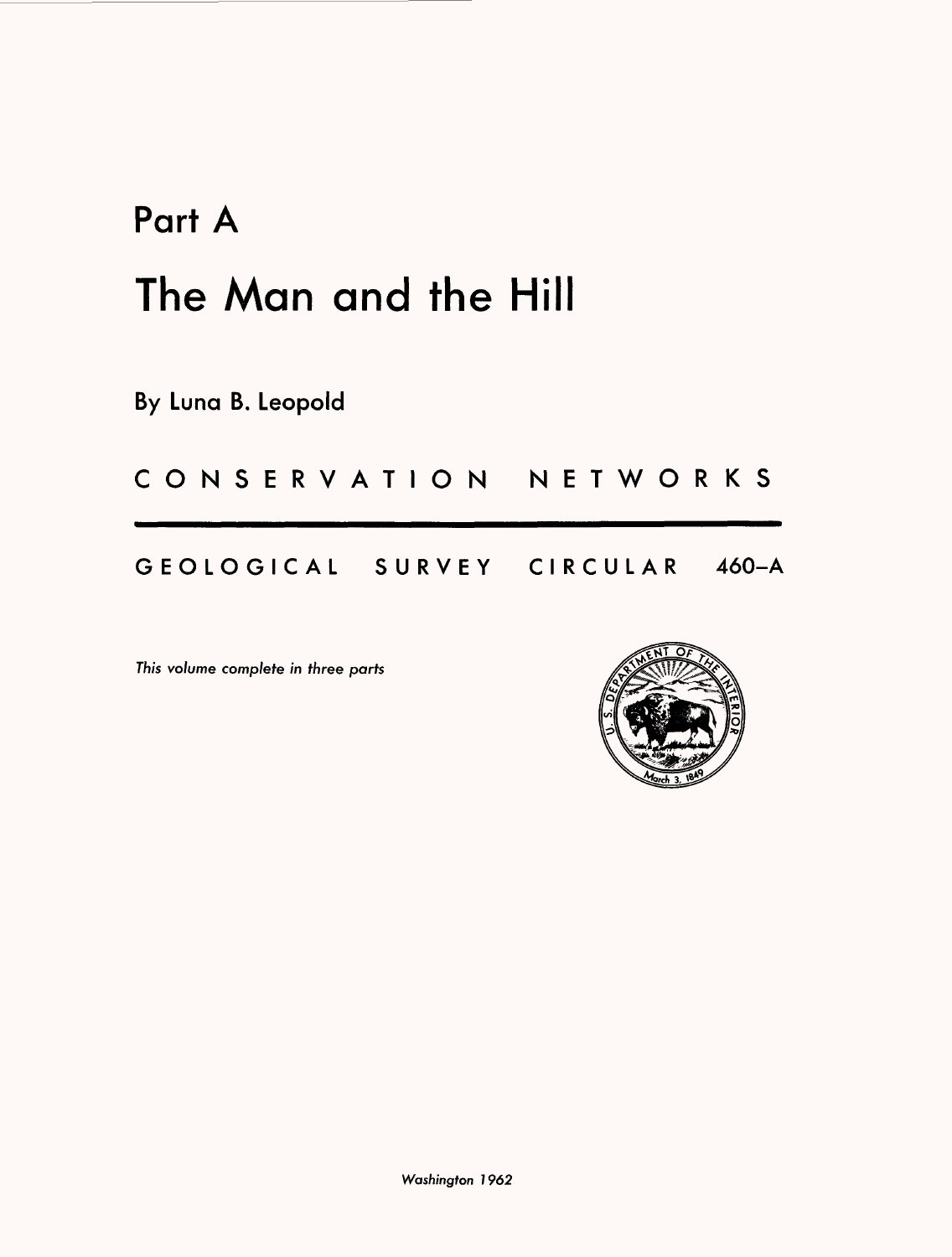## Part A The Man and the Hill

By Luna B. Leopold

CONSERVATION NETWORKS

GEOLOGICAL SURVEY CIRCULAR 460-A

This volume complete in three parts

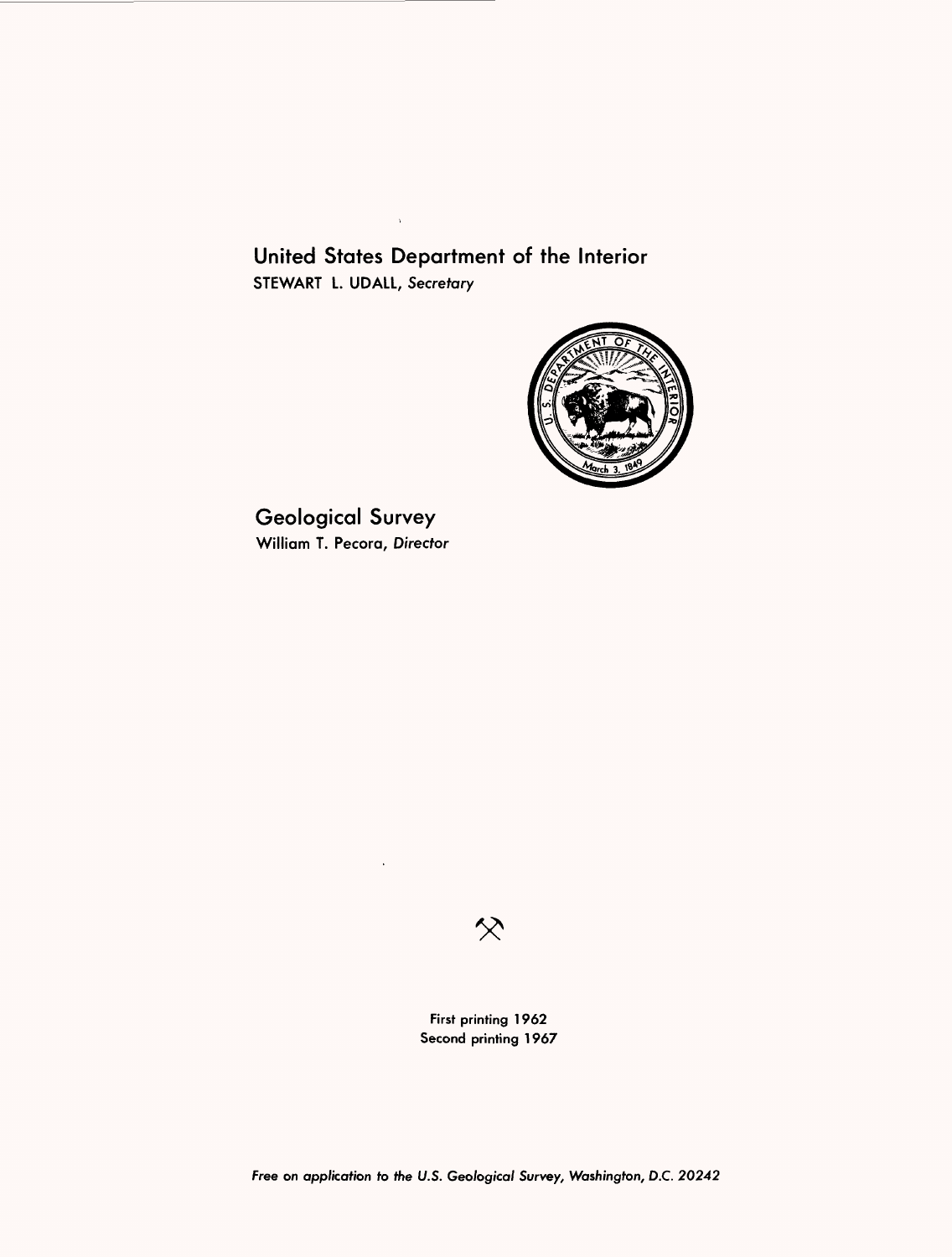United States Department of the Interior STEWART L. UDALL, Secretary

 $\bar{\chi}$ 



Geological Survey William T. Pecora, Director



First printing 1962 Second printing 1967

Free on application to the U.S. Geological Survey, Washington, D.C. 20242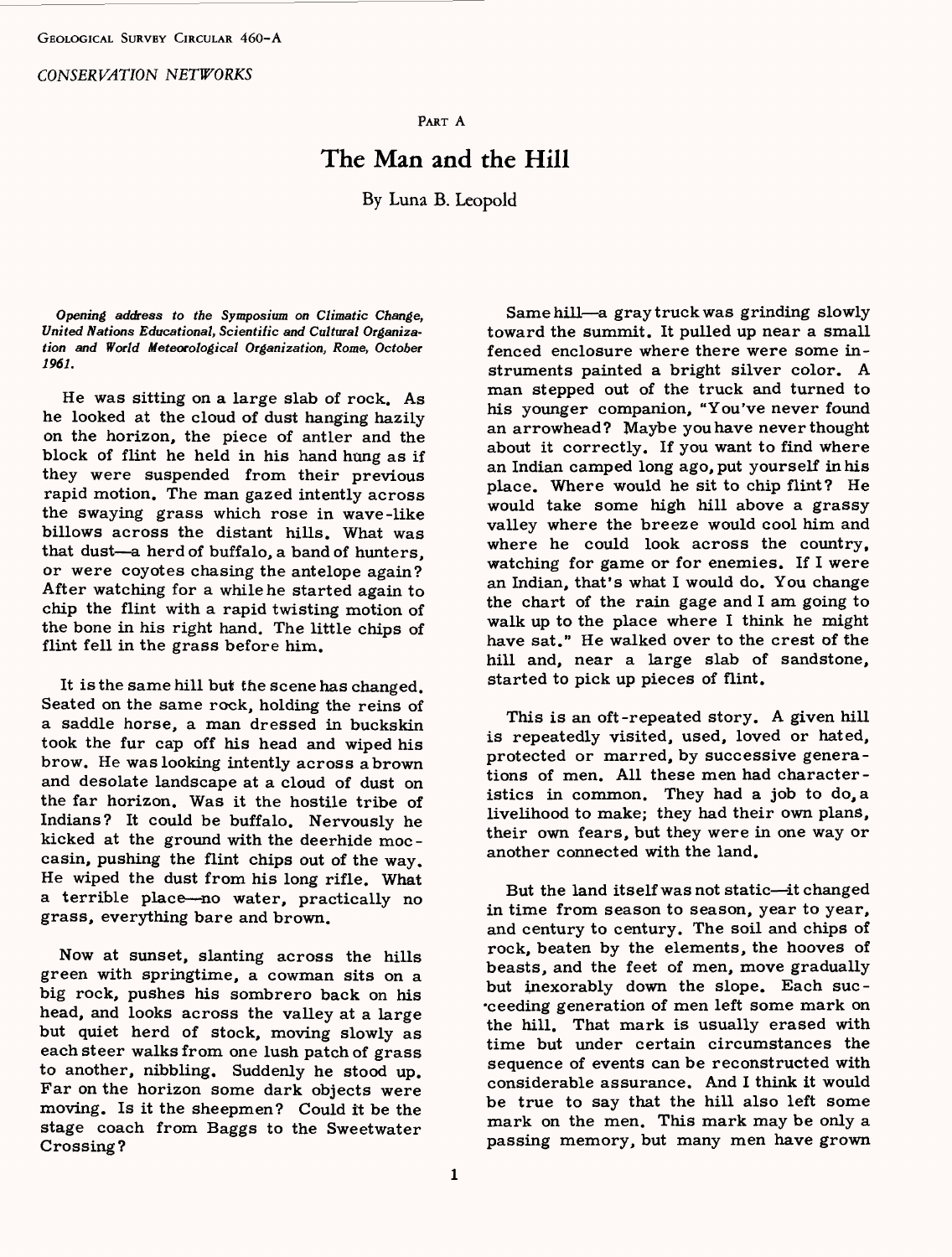*CONSERVATION NETWORKS*

PART A

## The Man and the Hill

By Luna B. Leopold

*Opening address to the Symposium on Climatic Change, United Nations Educational, Scientific and Cultural Organization and World Meteorological Organization, Rome, October 1961.*

He was sitting on a large slab of rock. As he looked at the cloud of dust hanging hazily on the horizon, the piece of antler and the block of flint he held in his hand hung as if they were suspended from their previous rapid motion. The man gazed intently across the swaying grass which rose in wave-like billows across the distant hills. What was that dust-a herd of buffalo, a band of hunters. or were coyotes chasing the antelope again? After watching for a while he started again to chip the flint with a rapid twisting motion of the bone in his right hand. The little chips of flint fell in the grass before him.

It is the same hill but the scene has changed. Seated on the same rock, holding the reins of a saddle horse, a man dressed in buckskin took the fur cap off his head and wiped his brow. He was looking intently across a brown and desolate landscape at a cloud of dust on the far horizon. Was it the hostile tribe of Indians? It could be buffalo. Nervously he kicked at the ground with the deerhide moc casin, pushing the flint chips out of the way. He wiped the dust from his long rifle. What a terrible place - no water, practically no grass, everything bare and brown.

Now at sunset, slanting across the hills green with springtime, a cowman sits on a big rock, pushes his sombrero back on his head, and looks across the valley at a large but quiet herd of stock, moving slowly as each steer walks from one lush patch of grass to another, nibbling. Suddenly he stood up. Far on the horizon some dark objects were moving. Is it the sheepmen? Could it be the stage coach from Baggs to the Sweetwater Crossing?

Same hill-a gray truck was grinding slowly toward the summit. It pulled up near a small fenced enclosure where there were some instruments painted a bright silver color. A man stepped out of the truck and turned to his younger companion, "You've never found an arrowhead? Maybe you have never thought about it correctly. If you want to find where an Indian camped long ago, put yourself in his place. Where would he sit to chip flint? He would take some high hill above a grassy valley where the breeze would cool him and where he could look across the country, watching for game or for enemies. If I were an Indian, that's what I would do. You change the chart of the rain gage and I am going to walk up to the place where I think he might have sat." He walked over to the crest of the hill and, near a large slab of sandstone, started to pick up pieces of flint.

This is an oft-repeated story. A given hill is repeatedly visited, used, loved or hated, protected or marred, by successive generations of men. All these men had characteristics in common. They had a job to do, a livelihood to make; they had their own plans, their own fears, but they were in one way or another connected with the land.

But the land itself was not static-it changed in time from season to season, year to year, and century to century. The soil and chips of rock, beaten by the elements, the hooves of beasts, and the feet of men, move gradually but inexorably down the slope. Each suc ceeding generation of men left some mark on the hill. That mark is usually erased with time but under certain circumstances the sequence of events can be reconstructed with considerable assurance. And I think it would be true to say that the hill also left some mark on the men. This mark may be only a passing memory, but many men have grown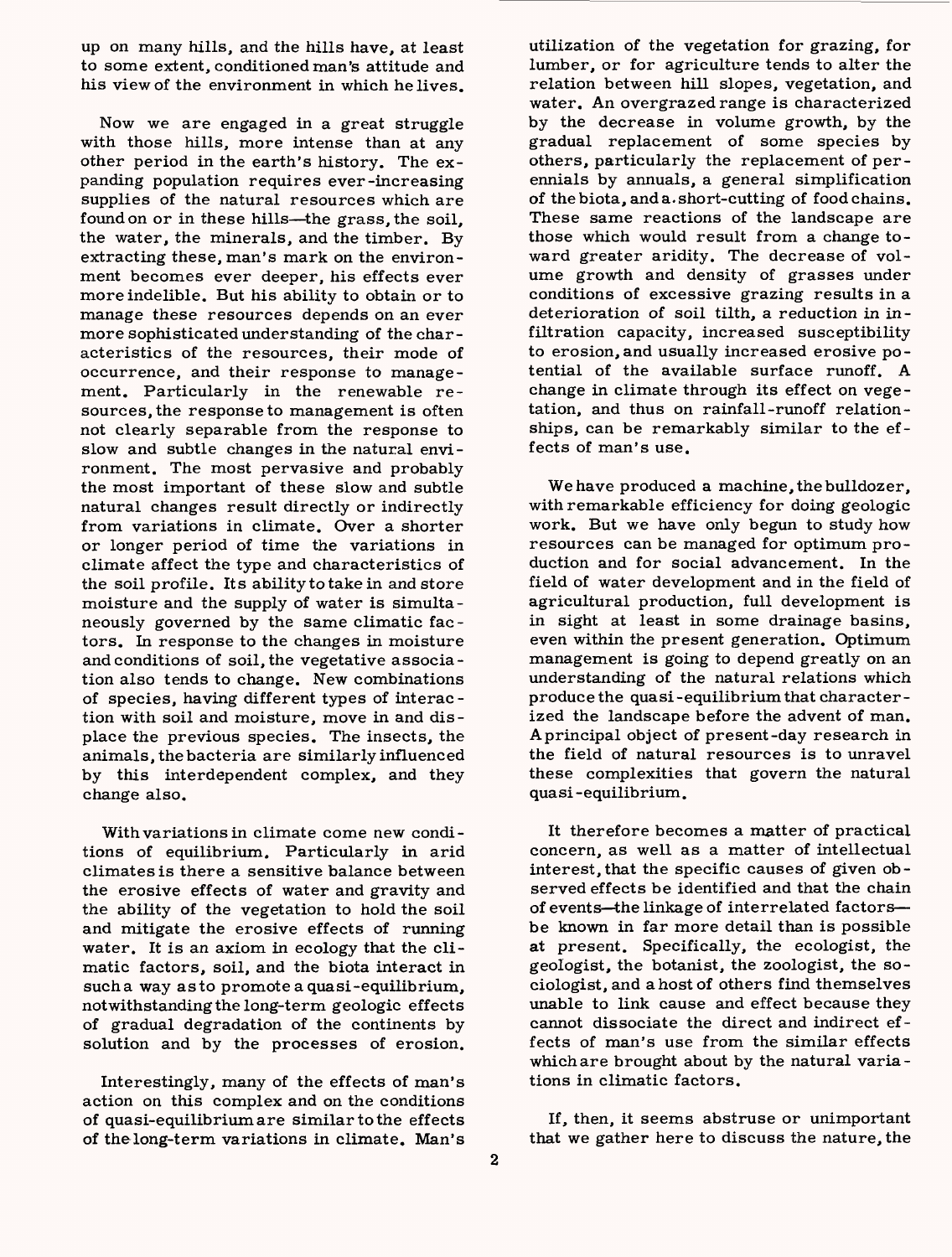up on many hills, and the hills have, at least to some extent, conditioned man's attitude and his view of the environment in which he lives.

Now we are engaged in a great struggle with those hills, more intense than at any other period in the earth's history. The expanding population requires ever-increasing supplies of the natural resources which are found on or in these hills—the grass, the soil, the water, the minerals, and the timber. By extracting these, man's mark on the environment becomes ever deeper, his effects ever more indelible. But his ability to obtain or to manage these resources depends on an ever more sophisticated understanding of the characteristics of the resources, their mode of occurrence, and their response to management. Particularly in the renewable resources, the response to management is often not clearly separable from the response to slow and subtle changes in the natural environment. The most pervasive and probably the most important of these slow and subtle natural changes result directly or indirectly from variations in climate. Over a shorter or longer period of time the variations in climate affect the type and characteristics of the soil profile. Its ability to take in and store moisture and the supply of water is simultaneously governed by the same climatic factors. In response to the changes in moisture and conditions of soil, the vegetative association also tends to change. New combinations of species, having different types of interaction with soil and moisture, move in and displace the previous species. The insects, the animals, the bacteria are similarly influenced by this interdependent complex, and they change also.

With variations in climate come new conditions of equilibrium. Particularly in arid climates is there a sensitive balance between the erosive effects of water and gravity and the ability of the vegetation to hold the soil and mitigate the erosive effects of running water. It is an axiom in ecology that the climatic factors, soil, and the biota interact in such a way as to promote a quasi-equilibrium, notwithstanding the long-term geologic effects of gradual degradation of the continents by solution and by the processes of erosion.

Interestingly, many of the effects of man's action on this complex and on the conditions of quasi-equilibriumare similar to the effects of thelong-term variations in climate. Man's

utilization of the vegetation for grazing, for lumber, or for agriculture tends to alter the relation between hill slopes, vegetation, and water. An overgrazed range is characterized by the decrease in volume growth, by the gradual replacement of some species by others, particularly the replacement of perennials by annuals, a general simplification of the biota, and a. short-cutting of food chains. These same reactions of the landscape are those which would result from a change toward greater aridity. The decrease of volume growth and density of grasses under conditions of excessive grazing results in a deterioration of soil tilth, a reduction in infiltration capacity, increased susceptibility to erosion,and usually increased erosive potential of the available surface runoff. A change in climate through its effect on vegetation, and thus on rainfall-runoff relationships, can be remarkably similar to the effects of man's use.

We have produced a machine, the bulldozer, with remarkable efficiency for doing geologic work. But we have only begun to study how resources can be managed for optimum production and for social advancement. In the field of water development and in the field of agricultural production, full development is in sight at least in some drainage basins, even within the present generation. Optimum management is going to depend greatly on an understanding of the natural relations which produce the qua si-equilibrium that characterized the landscape before the advent of man. A principal object of present-day research in the field of natural resources is to unravel these complexities that govern the natural quasi -equilibrium.

It therefore becomes a matter of practical concern, as well as a matter of intellectual interest, that the specific causes of given observed effects be identified and that the chain of events-the linkage of interrelated factorsbe known in far more detail than is possible at present. Specifically, the ecologist, the geologist, the botanist, the zoologist, the sociologist, and a host of others find themselves unable to link cause and effect because they cannot dissociate the direct and indirect effects of man's use from the similar effects which are brought about by the natural variations in climatic factors.

If, then, it seems abstruse or unimportant that we gather here to discuss the nature, the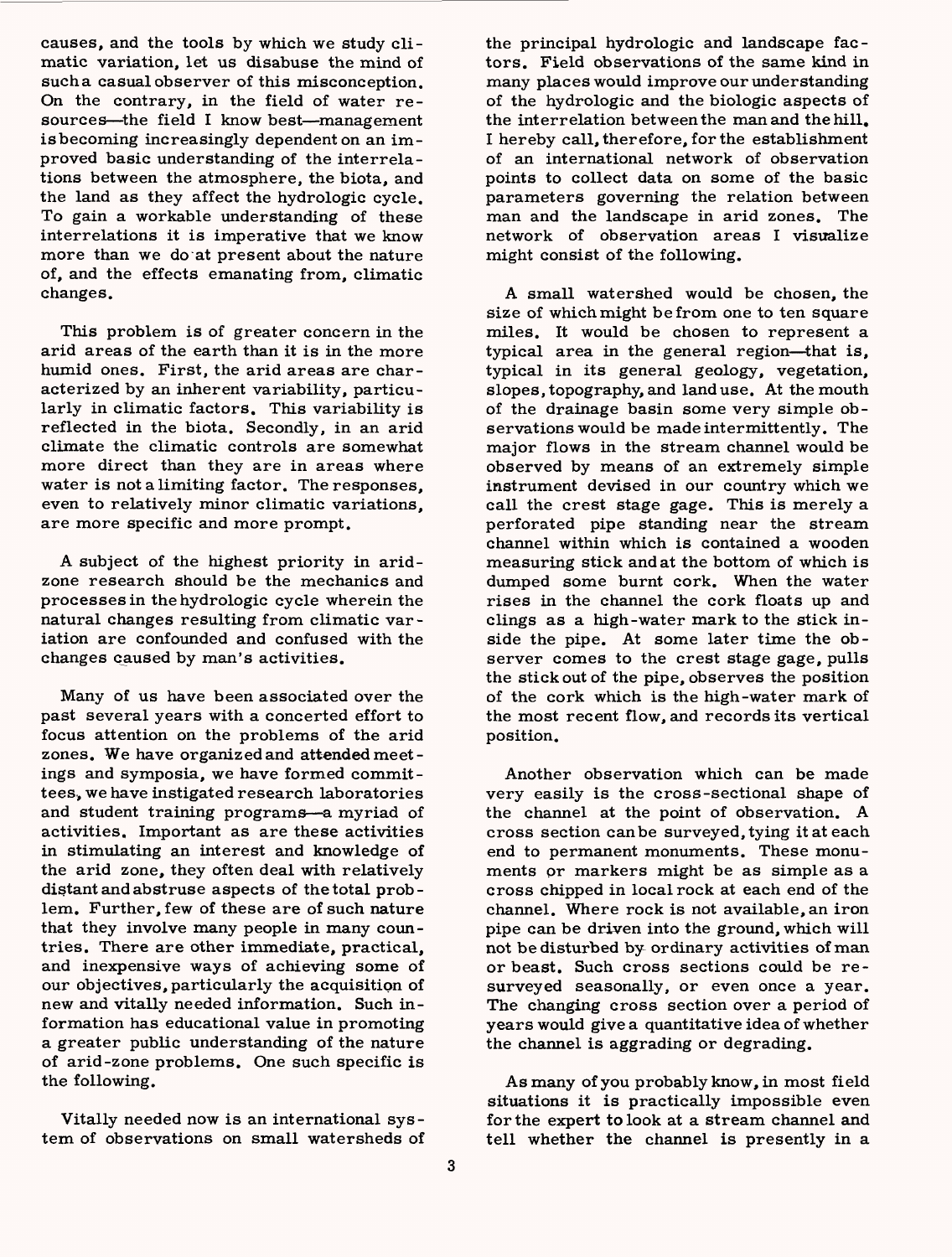causes, and the tools by which we study climatic variation, let us disabuse the mind of such a casual observer of this misconception. On the contrary, in the field of water resources—the field I know best—management isbecoming increasingly dependent on an improved basic understanding of the interrelations between the atmosphere, the biota, and the land as they affect the hydrologic cycle. To gain a workable understanding of these interrelations it is imperative that we know more than we do at present about the nature of, and the effects emanating from, climatic changes.

This problem is of greater concern in the arid areas of the earth than it is in the more humid ones. First, the arid areas are characterized by an inherent variability, particularly in climatic factors. This variability is reflected in the biota. Secondly, in an arid climate the climatic controls are somewhat more direct than they are in areas where water is not a limiting factor. The responses, even to relatively minor climatic variations, are more specific and more prompt.

A subject of the highest priority in aridzone research should be the mechanics and processes in the hydrologic cycle wherein the natural changes resulting from climatic variation are confounded and confused with the changes caused by man's activities.

Many of us have been associated over the past several years with a concerted effort to focus attention on the problems of the arid zones. We have organized and attended meetings and symposia, we have formed committees, we have instigated research laboratories and student training programs-a myriad of activities. Important as are these activities in stimulating an interest and knowledge of the arid zone, they often deal with relatively distant and abstruse aspects of the total problem. Further, few of these are of such nature that they involve many people in many countries. There are other immediate, practical, and inexpensive ways of achieving some of our objectives, particularly the acquisition of new and vitally needed information. Such information has educational value in promoting a greater public understanding of the nature of arid-zone problems. One such specific is the following.

Vitally needed now is an international system of observations on small watersheds of the principal hydrologic and landscape factors. Field observations of the same kind in many places would improve our under standing of the hydrologic and the biologic aspects of the interrelation between the man and thehill, I hereby call, therefore, for the establishment of an international network of observation points to collect data on some of the basic parameters governing the relation between man and the landscape in arid zones. The network of observation areas I visualize might consist of the following.

A small watershed would be chosen, the size of which might be from one to ten square miles. It would be chosen to represent a typical area in the general region—that is, typical in its general geology, vegetation, slopes, topography, and land use. At the mouth of the drainage basin some very simple observations would be made intermittently. The major flows in the stream channel would be observed by means of an extremely simple instrument devised in our country which we call the crest stage gage. This is merely a perforated pipe standing near the stream channel within which is contained a wooden measuring stick and at the bottom of which is dumped some burnt cork. When the water rises in the channel the cork floats up and clings as a high-water mark to the stick inside the pipe. At some later time the observer comes to the crest stage gage, pulls the stick out of the pipe, observes the position of the cork which is the high-water mark of the most recent flow, and records its vertical position.

Another observation which can be made very easily is the cross-sectional shape of the channel at the point of observation. A cross section can be surveyed, tying it at each end to permanent monuments. These monuments or markers might be as simple as a cross chipped in local rock at each end of the channel. Where rock is not available, an iron pipe can be driven into the ground, which will not be disturbed by ordinary activities of man or beast. Such cross sections could be resurveyed seasonally, or even once a year. The changing cross section over a period of years would give a quantitative idea of whether the channel is aggrading or degrading.

As many of you probably know, in most field situations it is practically impossible even for the expert to look at a stream channel and tell whether the channel is presently in a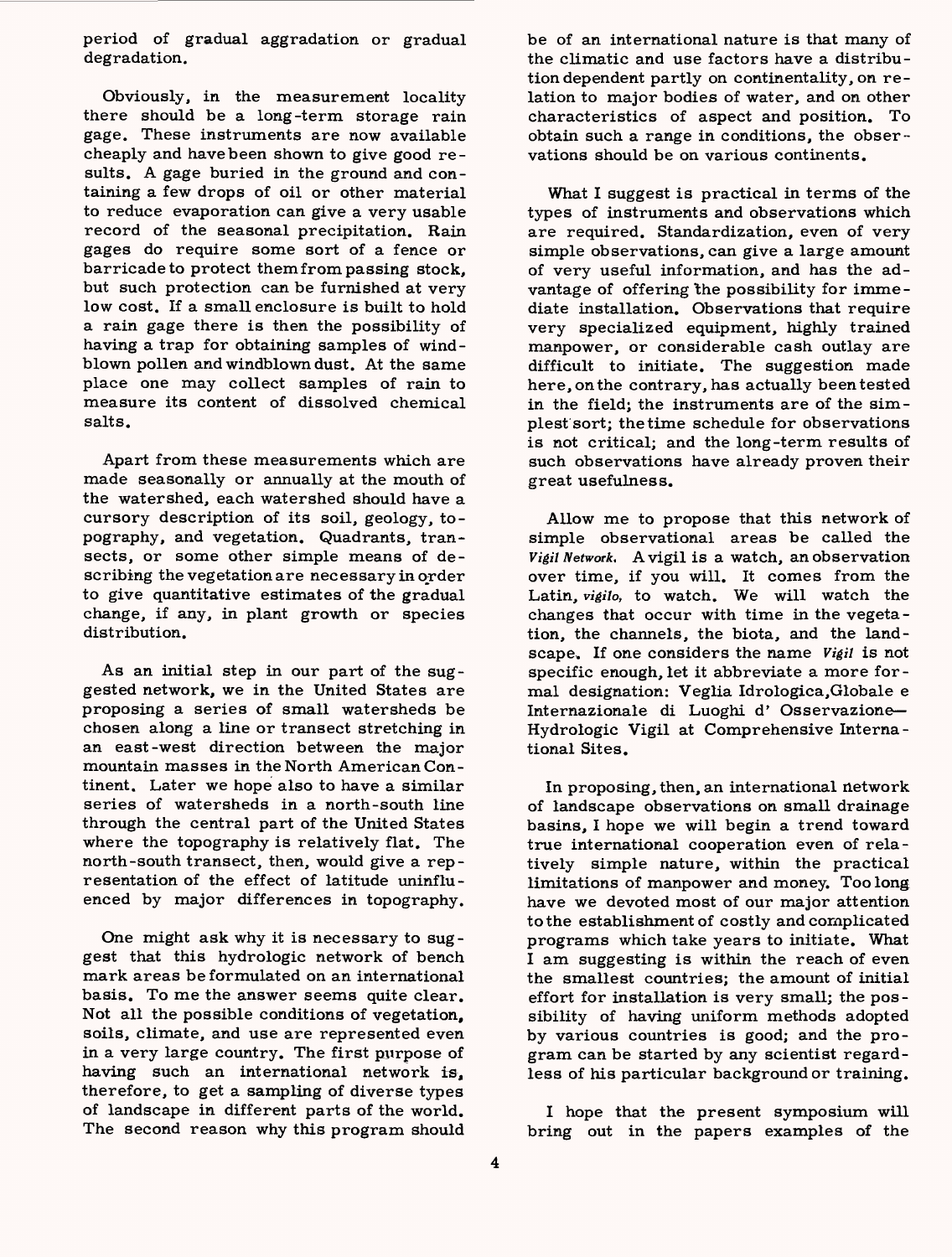period of gradual aggradation or gradual degradation.

Obviously, in the measurement locality there should be a long-term storage rain gage. These instruments are now available cheaply and have been shown to give good results. A gage buried in the ground and containing a few drops of oil or other material to reduce evaporation can give a very usable record of the seasonal precipitation. Rain gages do require some sort of a fence or barricade to protect them from passing stock, but such protection can be furnished at very low cost. If a small enclosure is built to hold a rain gage there is then the possibility of having a trap for obtaining samples of windblown pollen and windblown dust. At the same place one may collect samples of rain to measure its content of dissolved chemical salts.

Apart from these measurements which are made seasonally or annually at the mouth of the watershed, each watershed should have a cursory description of its soil, geology, topography, and vegetation. Quadrants, transects, or some other simple means of describing the vegetation are necessary in order to give quantitative estimates of the gradual change, if any, in plant growth or species distribution.

As an initial step in our part of the suggested network, we in the United States are proposing a series of small watersheds be chosen along a line or transect stretching in an east-west direction between the major mountain masses in the North American Continent. Later we hope also to have a similar series of watersheds in a north-south line through the central part of the United States where the topography is relatively flat. The north-south transect, then, would give a representation of the effect of latitude uninfluenced by major differences in topography.

One might ask why it is necessary to suggest that this hydrologic network of bench mark areas be formulated on an international basis. To me the answer seems quite clear. Not all the possible conditions of vegetation, soils, climate, and use are represented even in a very large country. The first purpose of having such an international network is, therefore, to get a sampling of diverse types of landscape in different parts of the world. The second reason why this program should be of an international nature is that many of the climatic and use factors have a distribution dependent partly on continentality, on relation to major bodies of water, and on other characteristics of aspect and position. To obtain such a range in conditions, the observations should be on various continents.

What I suggest is practical in terms of the types of instruments and observations which are required. Standardization, even of very simple observations, can give a large amount of very useful information, and has the advantage of offering the possibility for immediate installation. Observations that require very specialized equipment, highly trained manpower, or considerable cash outlay are difficult to initiate. The suggestion made here, on the contrary, has actually beentested in the field; the instruments are of the simplest sort; the time schedule for observations is not critical; and the long-term results of such observations have already proven their great usefulness.

Allow me to propose that this network of simple observational areas be called the *Vigil Network.* A vigil is a watch, an observation over time, if you will. It comes from the Latin, *vigilo,* to watch. We will watch the changes that occur with time in the vegetation, the channels, the biota, and the landscape. If one considers the name *Vigil* is not specific enough, let it abbreviate a more formal designation: Veglia Idrologica,Globale e Internazionale di Luoghi d' Osservazione Hydrologic Vigil at Comprehensive International Sites.

In proposing, then, an international network of landscape observations on small drainage basins, I hope we will begin a trend toward true international cooperation even of relatively simple nature, within the practical limitations of manpower and money. Too long have we devoted most of our major attention to the establishment of costly and complicated programs which take years to initiate. What I am suggesting is within the reach of even the smallest countries; the amount of initial effort for installation is very small; the possibility of having uniform methods adopted by various countries is good; and the program can be started by any scientist regardless of his particular background or training.

I hope that the present symposium will bring out in the papers examples of the